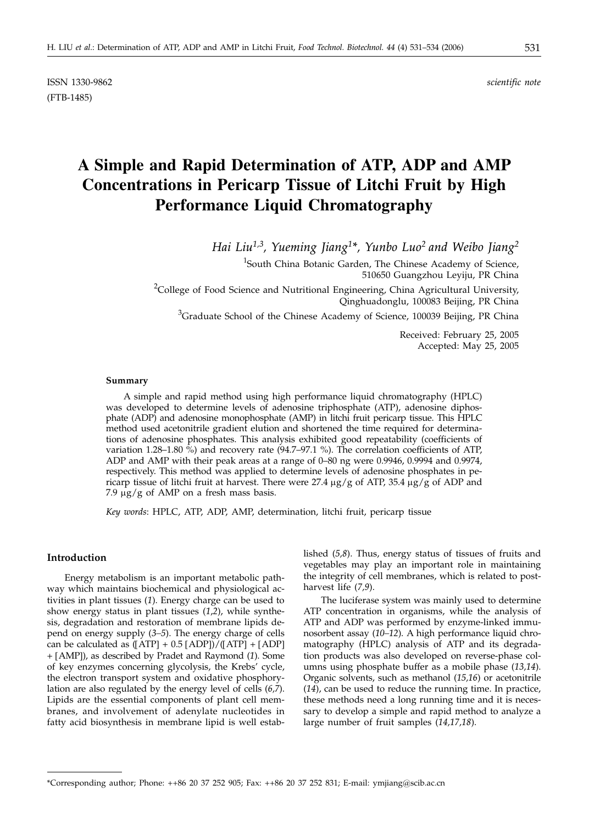ISSN 1330-9862 *scientific note* (FTB-1485)

# **A Simple and Rapid Determination of ATP, ADP and AMP Concentrations in Pericarp Tissue of Litchi Fruit by High Performance Liquid Chromatography**

*Hai Liu1,3, Yueming Jiang1\*, Yunbo Luo2 and Weibo Jiang2*

<sup>1</sup>South China Botanic Garden, The Chinese Academy of Science, 510650 Guangzhou Leyiju, PR China

<sup>2</sup>College of Food Science and Nutritional Engineering, China Agricultural University, Qinghuadonglu, 100083 Beijing, PR China

<sup>3</sup>Graduate School of the Chinese Academy of Science, 100039 Beijing, PR China

Received: February 25, 2005 Accepted: May 25, 2005

#### **Summary**

A simple and rapid method using high performance liquid chromatography (HPLC) was developed to determine levels of adenosine triphosphate (ATP), adenosine diphosphate (ADP) and adenosine monophosphate (AMP) in litchi fruit pericarp tissue. This HPLC method used acetonitrile gradient elution and shortened the time required for determinations of adenosine phosphates. This analysis exhibited good repeatability (coefficients of variation 1.28–1.80 %) and recovery rate (94.7–97.1 %). The correlation coefficients of ATP, ADP and AMP with their peak areas at a range of 0–80 ng were 0.9946, 0.9994 and 0.9974, respectively. This method was applied to determine levels of adenosine phosphates in pericarp tissue of litchi fruit at harvest. There were 27.4  $\mu$ g/g of ATP, 35.4  $\mu$ g/g of ADP and 7.9  $\mu$ g/g of AMP on a fresh mass basis.

*Key words*: HPLC, ATP, ADP, AMP, determination, litchi fruit, pericarp tissue

## **Introduction**

Energy metabolism is an important metabolic pathway which maintains biochemical and physiological activities in plant tissues (*1*). Energy charge can be used to show energy status in plant tissues (*1*,*2*), while synthesis, degradation and restoration of membrane lipids depend on energy supply (*3–5*). The energy charge of cells can be calculated as  $( [ATP] + 0.5 [ADP] ) / ( [ATP] + [ADP] )$ + [AMP]), as described by Pradet and Raymond (*1*). Some of key enzymes concerning glycolysis, the Krebs' cycle, the electron transport system and oxidative phosphorylation are also regulated by the energy level of cells (*6,7*). Lipids are the essential components of plant cell membranes, and involvement of adenylate nucleotides in fatty acid biosynthesis in membrane lipid is well established (*5,8*). Thus, energy status of tissues of fruits and vegetables may play an important role in maintaining the integrity of cell membranes, which is related to postharvest life (*7,9*).

The luciferase system was mainly used to determine ATP concentration in organisms, while the analysis of ATP and ADP was performed by enzyme-linked immunosorbent assay (*10–12*). A high performance liquid chromatography (HPLC) analysis of ATP and its degradation products was also developed on reverse-phase columns using phosphate buffer as a mobile phase (*13,14*). Organic solvents, such as methanol (*15,16*) or acetonitrile (*14*), can be used to reduce the running time. In practice, these methods need a long running time and it is necessary to develop a simple and rapid method to analyze a large number of fruit samples (*14,17,18*).

<sup>\*</sup>Corresponding author; Phone: ++86 20 37 252 905; Fax: ++86 20 37 252 831; E-mail: ymjiang*@*scib.ac.cn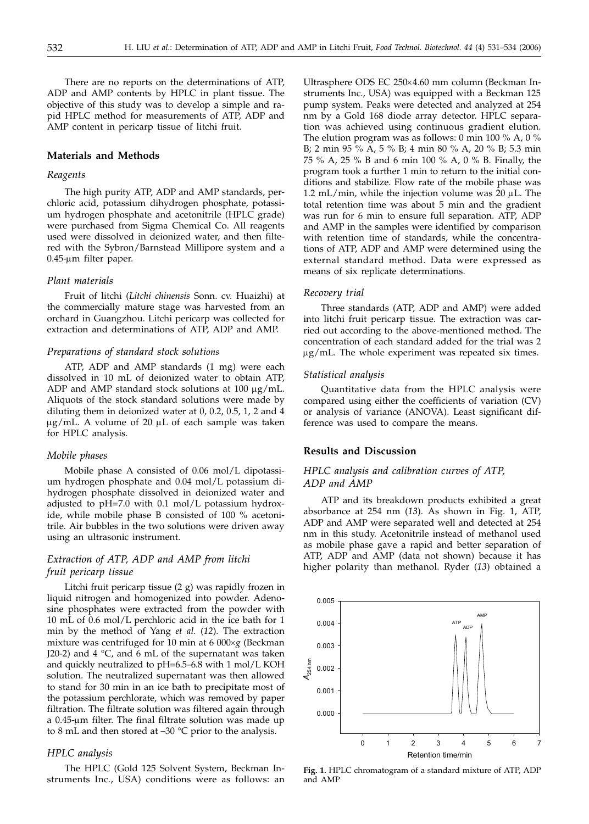There are no reports on the determinations of ATP, ADP and AMP contents by HPLC in plant tissue. The objective of this study was to develop a simple and rapid HPLC method for measurements of ATP, ADP and AMP content in pericarp tissue of litchi fruit.

#### **Materials and Methods**

#### *Reagents*

The high purity ATP, ADP and AMP standards, perchloric acid, potassium dihydrogen phosphate, potassium hydrogen phosphate and acetonitrile (HPLC grade) were purchased from Sigma Chemical Co. All reagents used were dissolved in deionized water, and then filtered with the Sybron/Barnstead Millipore system and a 0.45-µm filter paper.

#### *Plant materials*

Fruit of litchi (*Litchi chinensis* Sonn. cv. Huaizhi) at the commercially mature stage was harvested from an orchard in Guangzhou. Litchi pericarp was collected for extraction and determinations of ATP, ADP and AMP.

## *Preparations of standard stock solutions*

ATP, ADP and AMP standards (1 mg) were each dissolved in 10 mL of deionized water to obtain ATP, ADP and AMP standard stock solutions at  $100 \mu g/mL$ . Aliquots of the stock standard solutions were made by diluting them in deionized water at 0, 0.2, 0.5, 1, 2 and 4  $\mu$ g/mL. A volume of 20  $\mu$ L of each sample was taken for HPLC analysis.

#### *Mobile phases*

Mobile phase A consisted of 0.06 mol/L dipotassium hydrogen phosphate and 0.04 mol/L potassium dihydrogen phosphate dissolved in deionized water and adjusted to pH=7.0 with 0.1 mol/L potassium hydroxide, while mobile phase B consisted of 100 % acetonitrile. Air bubbles in the two solutions were driven away using an ultrasonic instrument.

# *Extraction of ATP, ADP and AMP from litchi fruit pericarp tissue*

Litchi fruit pericarp tissue (2 g) was rapidly frozen in liquid nitrogen and homogenized into powder. Adenosine phosphates were extracted from the powder with 10 mL of 0.6 mol/L perchloric acid in the ice bath for 1 min by the method of Yang *et al.* (*12*)*.* The extraction mixture was centrifuged for 10 min at 6 000×g (Beckman J20-2) and  $4 °C$ , and  $6 mL of the supernatant was taken$ and quickly neutralized to pH=6.5–6.8 with 1 mol/L KOH solution. The neutralized supernatant was then allowed to stand for 30 min in an ice bath to precipitate most of the potassium perchlorate, which was removed by paper filtration. The filtrate solution was filtered again through a 0.45-µm filter. The final filtrate solution was made up to 8 mL and then stored at  $-30$  °C prior to the analysis.

#### *HPLC analysis*

The HPLC (Gold 125 Solvent System, Beckman Instruments Inc., USA) conditions were as follows: an

Ultrasphere ODS EC 250×4.60 mm column (Beckman Instruments Inc., USA) was equipped with a Beckman 125 pump system. Peaks were detected and analyzed at 254 nm by a Gold 168 diode array detector. HPLC separation was achieved using continuous gradient elution. The elution program was as follows: 0 min 100 % A, 0 % B; 2 min 95 % A, 5 % B; 4 min 80 % A, 20 % B; 5.3 min 75 % A, 25 % B and 6 min 100 % A, 0 % B. Finally, the program took a further 1 min to return to the initial conditions and stabilize. Flow rate of the mobile phase was 1.2 mL/min, while the injection volume was  $20 \mu L$ . The total retention time was about 5 min and the gradient was run for 6 min to ensure full separation. ATP, ADP and AMP in the samples were identified by comparison with retention time of standards, while the concentrations of ATP, ADP and AMP were determined using the external standard method. Data were expressed as means of six replicate determinations.

#### *Recovery trial*

Three standards (ATP, ADP and AMP) were added into litchi fruit pericarp tissue. The extraction was carried out according to the above-mentioned method. The concentration of each standard added for the trial was 2 µg/mL. The whole experiment was repeated six times.

#### *Statistical analysis*

Quantitative data from the HPLC analysis were compared using either the coefficients of variation (CV) or analysis of variance (ANOVA). Least significant difference was used to compare the means.

# **Results and Discussion**

# *HPLC analysis and calibration curves of ATP, ADP and AMP*

ATP and its breakdown products exhibited a great absorbance at 254 nm (*13*). As shown in Fig. 1, ATP, ADP and AMP were separated well and detected at 254 nm in this study. Acetonitrile instead of methanol used as mobile phase gave a rapid and better separation of ATP, ADP and AMP (data not shown) because it has higher polarity than methanol. Ryder (*13*) obtained a



**Fig. 1.** HPLC chromatogram of a standard mixture of ATP, ADP and AMP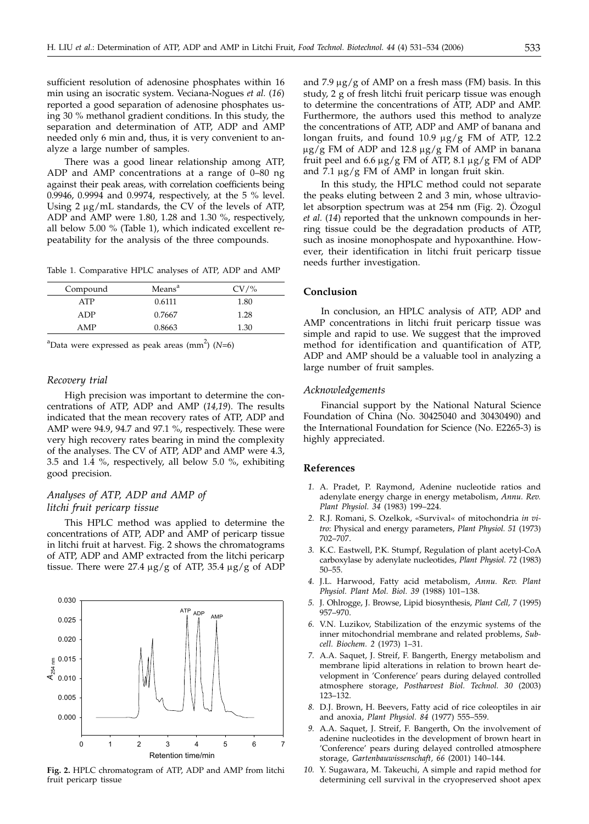sufficient resolution of adenosine phosphates within 16 min using an isocratic system. Veciana-Nogues *et al.* (*16*) reported a good separation of adenosine phosphates using 30 % methanol gradient conditions. In this study, the separation and determination of ATP, ADP and AMP needed only 6 min and, thus, it is very convenient to analyze a large number of samples.

There was a good linear relationship among ATP, ADP and AMP concentrations at a range of 0–80 ng against their peak areas, with correlation coefficients being 0.9946, 0.9994 and 0.9974, respectively, at the 5 % level. Using  $2 \mu g/mL$  standards, the CV of the levels of ATP, ADP and AMP were 1.80, 1.28 and 1.30 %, respectively, all below 5.00 % (Table 1), which indicated excellent repeatability for the analysis of the three compounds.

Table 1. Comparative HPLC analyses of ATP, ADP and AMP

| Compound   | Means <sup>a</sup> | $CV$ /% |
|------------|--------------------|---------|
| ATP        | 0.6111             | 1.80    |
| ADP        | 0.7667             | 1.28    |
| <b>AMP</b> | 0.8663             | 1.30    |
|            |                    |         |

 $\alpha$ Data were expressed as peak areas (mm<sup>2</sup>) (N=6)

# *Recovery trial*

High precision was important to determine the concentrations of ATP, ADP and AMP (*14,19*). The results indicated that the mean recovery rates of ATP, ADP and AMP were 94.9, 94.7 and 97.1 %, respectively. These were very high recovery rates bearing in mind the complexity of the analyses. The CV of ATP, ADP and AMP were 4.3, 3.5 and 1.4 %, respectively, all below 5.0 %, exhibiting good precision.

# *Analyses of ATP, ADP and AMP of litchi fruit pericarp tissue*

This HPLC method was applied to determine the concentrations of ATP, ADP and AMP of pericarp tissue in litchi fruit at harvest. Fig. 2 shows the chromatograms of ATP, ADP and AMP extracted from the litchi pericarp tissue. There were 27.4  $\mu$ g/g of ATP, 35.4  $\mu$ g/g of ADP



**Fig. 2.** HPLC chromatogram of ATP, ADP and AMP from litchi fruit pericarp tissue

and 7.9  $\mu$ g/g of AMP on a fresh mass (FM) basis. In this study, 2 g of fresh litchi fruit pericarp tissue was enough to determine the concentrations of ATP, ADP and AMP. Furthermore, the authors used this method to analyze the concentrations of ATP, ADP and AMP of banana and longan fruits, and found 10.9  $\mu$ g/g FM of ATP, 12.2  $\mu$ g/g FM of ADP and 12.8  $\mu$ g/g FM of AMP in banana fruit peel and 6.6  $\mu$ g/g FM of ATP, 8.1  $\mu$ g/g FM of ADP and 7.1  $\mu$ g/g FM of AMP in longan fruit skin.

In this study, the HPLC method could not separate the peaks eluting between 2 and 3 min, whose ultraviolet absorption spectrum was at 254 nm (Fig. 2). Özogul *et al.* (*14*) reported that the unknown compounds in herring tissue could be the degradation products of ATP, such as inosine monophospate and hypoxanthine. However, their identification in litchi fruit pericarp tissue needs further investigation.

## **Conclusion**

In conclusion, an HPLC analysis of ATP, ADP and AMP concentrations in litchi fruit pericarp tissue was simple and rapid to use. We suggest that the improved method for identification and quantification of ATP, ADP and AMP should be a valuable tool in analyzing a large number of fruit samples.

#### *Acknowledgements*

Financial support by the National Natural Science Foundation of China (No. 30425040 and 30430490) and the International Foundation for Science (No. E2265-3) is highly appreciated.

# **References**

- *1.* A. Pradet, P. Raymond, Adenine nucleotide ratios and adenylate energy charge in energy metabolism, *Annu. Rev. Plant Physiol. 34* (1983) 199–224.
- *2.* R.J. Romani, S. Ozelkok, «Survival« of mitochondria *in vitro*: Physical and energy parameters, *Plant Physiol. 51* (1973) 702–707.
- *3.* K.C. Eastwell, P.K. Stumpf, Regulation of plant acetyl-CoA carboxylase by adenylate nucleotides, *Plant Physiol. 72* (1983) 50–55.
- *4.* J.L. Harwood, Fatty acid metabolism, *Annu. Rev. Plant Physiol. Plant Mol. Biol. 39* (1988) 101–138.
- *5.* J. Ohlrogge, J. Browse, Lipid biosynthesis, *Plant Cell, 7* (1995) 957–970.
- *6.* V.N. Luzikov, Stabilization of the enzymic systems of the inner mitochondrial membrane and related problems, *Subcell. Biochem. 2* (1973) 1–31.
- *7.* A.A. Saquet, J. Streif, F. Bangerth, Energy metabolism and membrane lipid alterations in relation to brown heart development in 'Conference' pears during delayed controlled atmosphere storage, *Postharvest Biol. Technol. 30* (2003) 123–132.
- *8.* D.J. Brown, H. Beevers, Fatty acid of rice coleoptiles in air and anoxia, *Plant Physiol. 84* (1977) 555–559.
- *9.* A.A. Saquet, J. Streif, F. Bangerth, On the involvement of adenine nucleotides in the development of brown heart in 'Conference' pears during delayed controlled atmosphere storage, *Gartenbauwissenschaft, 66* (2001) 140–144.
- *10.* Y. Sugawara, M. Takeuchi, A simple and rapid method for determining cell survival in the cryopreserved shoot apex